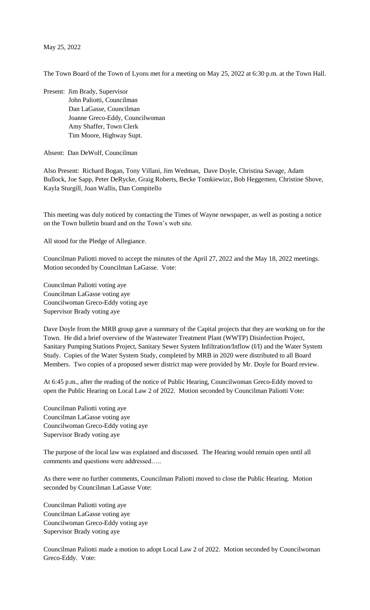## May 25, 2022

The Town Board of the Town of Lyons met for a meeting on May 25, 2022 at 6:30 p.m. at the Town Hall.

Present: Jim Brady, Supervisor John Paliotti, Councilman Dan LaGasse, Councilman Joanne Greco-Eddy, Councilwoman Amy Shaffer, Town Clerk Tim Moore, Highway Supt.

Absent: Dan DeWolf, Councilman

Also Present: Richard Bogan, Tony Villani, Jim Wedman, Dave Doyle, Christina Savage, Adam Bullock, Joe Sapp, Peter DeRycke, Graig Roberts, Becke Tomkiewizc, Bob Heggemen, Christine Shove, Kayla Sturgill, Joan Wallis, Dan Compitello

This meeting was duly noticed by contacting the Times of Wayne newspaper, as well as posting a notice on the Town bulletin board and on the Town's web site.

All stood for the Pledge of Allegiance.

Councilman Paliotti moved to accept the minutes of the April 27, 2022 and the May 18, 2022 meetings. Motion seconded by Councilman LaGasse. Vote:

Councilman Paliotti voting aye Councilman LaGasse voting aye Councilwoman Greco-Eddy voting aye Supervisor Brady voting aye

Dave Doyle from the MRB group gave a summary of the Capital projects that they are working on for the Town. He did a brief overview of the Wastewater Treatment Plant (WWTP) Disinfection Project, Sanitary Pumping Stations Project, Sanitary Sewer System Infiltration/Inflow (I/I) and the Water System Study. Copies of the Water System Study, completed by MRB in 2020 were distributed to all Board Members. Two copies of a proposed sewer district map were provided by Mr. Doyle for Board review.

At 6:45 p.m., after the reading of the notice of Public Hearing, Councilwoman Greco-Eddy moved to open the Public Hearing on Local Law 2 of 2022. Motion seconded by Councilman Paliotti Vote:

Councilman Paliotti voting aye Councilman LaGasse voting aye Councilwoman Greco-Eddy voting aye Supervisor Brady voting aye

The purpose of the local law was explained and discussed. The Hearing would remain open until all comments and questions were addressed…..

As there were no further comments, Councilman Paliotti moved to close the Public Hearing. Motion seconded by Councilman LaGasse Vote:

Councilman Paliotti voting aye Councilman LaGasse voting aye Councilwoman Greco-Eddy voting aye Supervisor Brady voting aye

Councilman Paliotti made a motion to adopt Local Law 2 of 2022. Motion seconded by Councilwoman Greco-Eddy. Vote: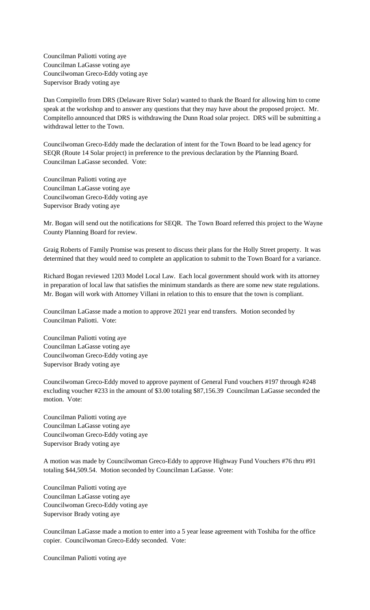Councilman Paliotti voting aye Councilman LaGasse voting aye Councilwoman Greco-Eddy voting aye Supervisor Brady voting aye

Dan Compitello from DRS (Delaware River Solar) wanted to thank the Board for allowing him to come speak at the workshop and to answer any questions that they may have about the proposed project. Mr. Compitello announced that DRS is withdrawing the Dunn Road solar project. DRS will be submitting a withdrawal letter to the Town.

Councilwoman Greco-Eddy made the declaration of intent for the Town Board to be lead agency for SEQR (Route 14 Solar project) in preference to the previous declaration by the Planning Board. Councilman LaGasse seconded. Vote:

Councilman Paliotti voting aye Councilman LaGasse voting aye Councilwoman Greco-Eddy voting aye Supervisor Brady voting aye

Mr. Bogan will send out the notifications for SEQR. The Town Board referred this project to the Wayne County Planning Board for review.

Graig Roberts of Family Promise was present to discuss their plans for the Holly Street property. It was determined that they would need to complete an application to submit to the Town Board for a variance.

Richard Bogan reviewed 1203 Model Local Law. Each local government should work with its attorney in preparation of local law that satisfies the minimum standards as there are some new state regulations. Mr. Bogan will work with Attorney Villani in relation to this to ensure that the town is compliant.

Councilman LaGasse made a motion to approve 2021 year end transfers. Motion seconded by Councilman Paliotti. Vote:

Councilman Paliotti voting aye Councilman LaGasse voting aye Councilwoman Greco-Eddy voting aye Supervisor Brady voting aye

Councilwoman Greco-Eddy moved to approve payment of General Fund vouchers #197 through #248 excluding voucher #233 in the amount of \$3.00 totaling \$87,156.39 Councilman LaGasse seconded the motion. Vote:

Councilman Paliotti voting aye Councilman LaGasse voting aye Councilwoman Greco-Eddy voting aye Supervisor Brady voting aye

A motion was made by Councilwoman Greco-Eddy to approve Highway Fund Vouchers #76 thru #91 totaling \$44,509.54. Motion seconded by Councilman LaGasse. Vote:

Councilman Paliotti voting aye Councilman LaGasse voting aye Councilwoman Greco-Eddy voting aye Supervisor Brady voting aye

Councilman LaGasse made a motion to enter into a 5 year lease agreement with Toshiba for the office copier. Councilwoman Greco-Eddy seconded. Vote:

Councilman Paliotti voting aye